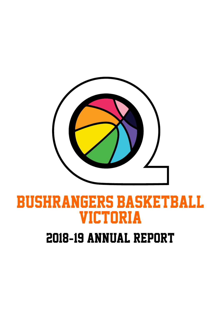

# BUSHRANGERS BASKETBALL VICTORIA

# 2018**-**19 Annual Report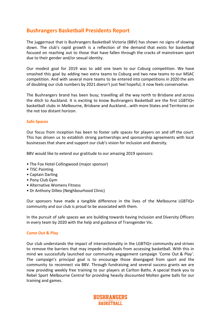# **Bushrangers Basketball Presidents Report**

The juggernaut that is Bushrangers Basketball Victoria (BBV) has shown no signs of slowing down. The club's rapid growth is a reflection of the demand that exists for basketball focused on reaching out to those that have fallen through the cracks of mainstream sport due to their gender and/or sexual identity.

Our modest goal for 2019 was to add one team to our Coburg competition. We have smashed this goal by adding two extra teams to Coburg and two new teams to our MSAC competition. And with several more teams to be entered into competitions in 2020 the aim of doubling our club numbers by 2021 doesn't just feel hopeful, it now feels conservative.

The Bushrangers brand has been busy; travelling all the way north to Brisbane and across the ditch to Auckland. It is exciting to know Bushrangers Basketball are the first LGBTIQ+ basketball clubs in Melbourne, Brisbane and Auckland …with more States and Territories on the not too distant horizon.

#### **Safe Spaces**

Our focus from inception has been to foster safe spaces for players on and off the court. This has driven us to establish strong partnerships and sponsorship agreements with local businesses that share and support our club's vision for inclusion and diversity.

BBV would like to extend our gratitude to our amazing 2019 sponsors:

- The Fox Hotel Collingwood (major sponsor)
- TISC Painting
- Captain Darling
- Pony Club Gym
- Alternative Womens Fitness
- Dr Anthony Dilleo (Neighbourhood Clinic)

Our sponsors have made a tangible difference in the lives of the Melbourne LGBTIQ+ community and our club is proud to be associated with them.

In the pursuit of safe spaces we are building towards having Inclusion and Diversity Officers in every team by 2020 with the help and guidance of Transgender Vic.

#### **Come Out & Play**

Our club understands the impact of intersectionality in the LGBTIQ+ community and strives to remove the barriers that may impede individuals from accessing basketball. With this in mind we successfully launched our community engagement campaign 'Come Out & Play'. The campaign's principal goal is to encourage those disengaged from sport and the community to reconnect via BBV. Through fundraising and several success grants we are now providing weekly free training to our players at Carlton Baths. A special thank you to Rebel Sport Melbourne Central for providing heavily discounted Molten game balls for our training and games.

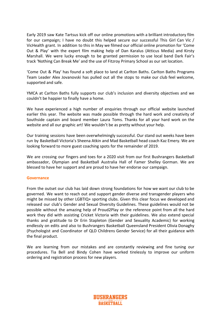Early 2019 saw Kate Tartsus kick off our online promotions with a brilliant introductory film for our campaign; I have no doubt this helped secure our successful This Girl Can Vic / VicHealth grant. In addition to this in May we filmed our official online promotion for 'Come Out & Play' with the expert film making help of Dan Karalus (Atticus Media) and Kirsty Marshall. We were lucky enough to be granted permission to use local band Dark Fair's track 'Nothing Can Break Me' and the use of Fitzroy Primary School as our set location.

'Come Out & Play' has found a soft place to land at Carlton Baths. Carlton Baths Programs Team Leader Alex Jovanovski has pulled out all the stops to make our club feel welcome, supported and safe.

YMCA at Carlton Baths fully supports our club's inclusion and diversity objectives and we couldn't be happier to finally have a home.

We have experienced a high number of enquiries through our official website launched earlier this year. The website was made possible through the hard work and creativity of Southside captain and board member Laura Toms. Thanks for all your hard work on the website and all our graphic art! We wouldn't be as pretty without your help.

Our training sessions have been overwhelmingly successful. Our stand out weeks have been run by Basketball Victoria's Sheena Atkin and Mad Basketball head coach Kaz Emery. We are looking forward to more guest coaching spots for the remainder of 2019.

We are crossing our fingers and toes for a 2020 visit from our first Bushrangers Basketball ambassador, Olympian and Basketball Australia Hall of Famer Shelley Gorman. We are blessed to have her support and are proud to have her endorse our campaign.

#### **Governance**

From the outset our club has laid down strong foundations for how we want our club to be governed. We want to reach out and support gender diverse and transgender players who might be missed by other LGBTIQ+ sporting clubs. Given this clear focus we developed and released our club's Gender and Sexual Diversity Guidelines. These guidelines would not be possible without the amazing help of Proud2Play or the reference point from all the hard work they did with assisting Cricket Victoria with their guidelines. We also extend special thanks and gratitude to Dr Erin Stapleton (Gender and Sexuality Academic) for working endlessly on edits and also to Bushrangers Basketball Queensland President Olivia Donaghy (Psychologist and Coordinator of QLD Childrens Gender Service) for all their guidance with the final product.

We are learning from our mistakes and are constantly reviewing and fine tuning our procedures. Tia Bell and Bindy Cohen have worked tirelessly to improve our uniform ordering and registration process for new players.

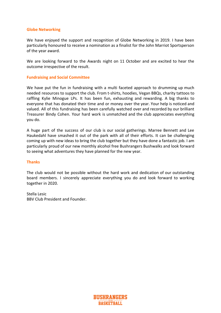#### **Globe Networking**

We have enjoyed the support and recognition of Globe Networking in 2019. I have been particularly honoured to receive a nomination as a finalist for the John Marriot Sportsperson of the year award.

We are looking forward to the Awards night on 11 October and are excited to hear the outcome irrespective of the result.

#### **Fundraising and Social Committee**

We have put the fun in fundraising with a multi faceted approach to drumming up much needed resources to support the club. From t-shirts, hoodies, Vegan BBQs, charity tattoos to raffling Kylie Minogue LPs. It has been fun, exhausting and rewarding. A big thanks to everyone that has donated their time and or money over the year. Your help is noticed and valued. All of this fundraising has been carefully watched over and recorded by our brilliant Treasurer Bindy Cohen. Your hard work is unmatched and the club appreciates everything you do.

A huge part of the success of our club is our social gatherings. Marree Bennett and Lee Haukedahl have smashed it out of the park with all of their efforts. It can be challenging coming up with new ideas to bring the club together but they have done a fantastic job. I am particularly proud of our new monthly alcohol free Bushrangers Bushwalks and look forward to seeing what adventures they have planned for the new year.

#### **Thanks**

The club would not be possible without the hard work and dedication of our outstanding board members. I sincerely appreciate everything you do and look forward to working together in 2020.

Stella Lesic BBV Club President and Founder.

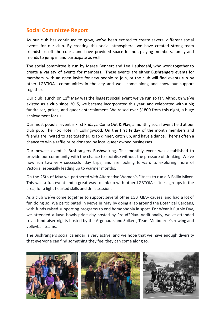# **Social Committee Report**

As our club has continued to grow, we've been excited to create several different social events for our club. By creating this social atmosphere, we have created strong team friendships off the court, and have provided space for non-playing members, family and friends to jump in and participate as well.

The social committee is run by Maree Bennett and Lee Haukedahl, who work together to create a variety of events for members. These events are either Bushrangers events for members, with an open invite for new people to join, or the club will find events run by other LGBTIQA+ communities in the city and we'll come along and show our support together.

Our club launch on  $11<sup>th</sup>$  May was the biggest social event we've run so far. Although we've existed as a club since 2015, we became incorporated this year, and celebrated with a big fundraiser, prizes, and queer entertainment. We raised over \$1800 from this night, a huge achievement for us!

Our most popular event is First Fridays: Come Out & Play, a monthly social event held at our club pub, The Fox Hotel in Collingwood. On the first Friday of the month members and friends are invited to get together, grab dinner, catch up, and have a dance. There's often a chance to win a raffle prize donated by local queer owned businesses.

Our newest event is Bushrangers Bushwalking. This monthly event was established to provide our community with the chance to socialise without the pressure of drinking. We've now run two very successful day trips, and are looking forward to exploring more of Victoria, especially leading up to warmer months.

On the 25th of May we partnered with Alternative Women's Fitness to run a B-Ballin Mixer. This was a fun event and a great way to link up with other LGBTQIA+ fitness groups in the area, for a light hearted skills and drills session.

As a club we've come together to support several other LGBTQIA+ causes, and had a lot of fun doing so. We participated in Move in May by doing a lap around the Botanical Gardens, with funds raised supporting programs to end homophobia in sport. For Wear it Purple Day, we attended a lawn bowls pride day hosted by Proud2Play. Additionally, we've attended trivia fundraiser nights hosted by the Argonauts and Spikers, Team Melbourne's rowing and volleyball teams.

The Bushrangers social calendar is very active, and we hope that we have enough diversity that everyone can find something they feel they can come along to.

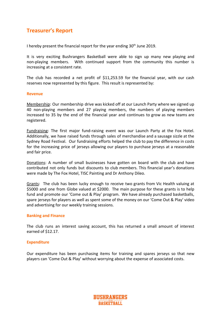# **Treasurer's Report**

I hereby present the financial report for the year ending  $30<sup>th</sup>$  June 2019.

It is very exciting Bushrangers Basketball were able to sign up many new playing and non-playing members. With continued support from the community this number is increasing at a consistent rate.

The club has recorded a net profit of \$11,253.59 for the financial year, with our cash reserves now represented by this figure. This result is represented by:

#### **Revenue**

Membership: Our membership drive was kicked off at our Launch Party where we signed up 40 non-playing members and 27 playing members, the numbers of playing members increased to 35 by the end of the financial year and continues to grow as new teams are registered.

Fundraising: The first major fund-raising event was our Launch Party at the Fox Hotel. Additionally, we have raised funds through sales of merchandise and a sausage sizzle at the Sydney Road Festival. Our fundraising efforts helped the club to pay the difference in costs for the increasing price of jerseys allowing our players to purchase jerseys at a reasonable and fair price.

Donations: A number of small businesses have gotten on board with the club and have contributed not only funds but discounts to club members. This financial year's donations were made by The Fox Hotel, TISC Painting and Dr Anthony Dileo.

Grants: The club has been lucky enough to receive two grants from Vic Health valuing at \$5000 and one from Globe valued at \$2000. The main purpose for these grants is to help fund and promote our 'Come out & Play' program. We have already purchased basketballs, spare jerseys for players as well as spent some of the money on our 'Come Out & Play' video and advertising for our weekly training sessions.

#### **Banking and Finance**

The club runs an interest saving account, this has returned a small amount of interest earned of \$12.17.

#### **Expenditure**

Our expenditure has been purchasing items for training and spares jerseys so that new players can 'Come Out & Play' without worrying about the expense of associated costs.

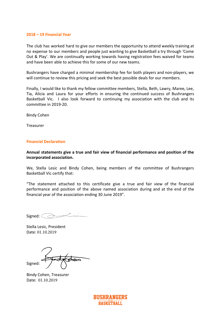#### **2018 – 19 Financial Year**

The club has worked hard to give our members the opportunity to attend weekly training at no expense to our members and people just wanting to give Basketball a try through 'Come Out & Play'. We are continually working towards having registration fees waived for teams and have been able to achieve this for some of our new teams.

Bushrangers have charged a minimal membership fee for both players and non-players, we will continue to review this pricing and seek the best possible deals for our members.

Finally, I would like to thank my fellow committee members, Stella, Beth, Lawry, Maree, Lee, Tia, Alicia and Laura for your efforts in ensuring the continued success of Bushrangers Basketball Vic. I also look forward to continuing my association with the club and its committee in 2019-20.

Bindy Cohen

Treasurer

#### **Financial Declaration**

**Annual statements give a true and fair view of financial performance and position of the incorporated association.** 

We, Stella Lesic and Bindy Cohen, being members of the committee of Bushrangers Basketball Vic certify that:

"The statement attached to this certificate give a true and fair view of the financial performance and position of the above named association during and at the end of the financial year of the association ending 30 June 2019".

 $Signed:$ 

Stella Lesic, President Date: 01.10.2019

Signed:

Bindy Cohen, Treasurer Bindy Cohen, Treasurer Date: 01.10.2019

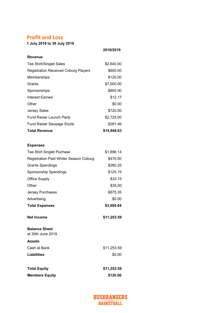# **Profit and Loss**

**1 July 2018 to 30 July 2019**

|                                             | 2018/2019   |
|---------------------------------------------|-------------|
| <b>Revenue</b>                              |             |
| <b>Tee Shirt/Singlet Sales</b>              | \$2,640.00  |
| <b>Registration Received Coburg Players</b> | \$600.00    |
| Memberships                                 | \$120.00    |
| Grants                                      | \$7,000.00  |
| Sponsorships                                | \$850.00    |
| Interest Earned                             | \$12.17     |
| Other                                       | \$0.00      |
| <b>Jersey Sales</b>                         | \$720.00    |
| <b>Fund Raiser Launch Party</b>             | \$2,725.00  |
| <b>Fund Raiser Sausage Sizzle</b>           | \$281.46    |
| <b>Total Revenue</b>                        | \$14,948.63 |

## **Expenses**

| Tee Shirt Singlet Puchase                 | \$1,896.14  |
|-------------------------------------------|-------------|
| Registration Paid Winter Season Coburg    | \$470.00    |
| <b>Grants Spendings</b>                   | \$260.25    |
| Sponsorship Spendings                     | \$125.15    |
| <b>Office Supply</b>                      | \$33.15     |
| Other                                     | \$35.00     |
| Jersey Purchases                          | \$875.35    |
| Advertising                               | \$0.00      |
| <b>Total Expenses</b>                     | \$3,695.04  |
| Net Income                                | \$11,253.59 |
| <b>Balance Sheet</b><br>at 30th June 2019 |             |
| <b>Assets</b>                             |             |
| Cash at Bank                              | \$11,253.59 |
| <b>Liabilities</b>                        | \$0.00      |
|                                           |             |

| <b>Total Equity</b>   | \$11,253.59 |
|-----------------------|-------------|
| <b>Members Equity</b> | \$120.00    |